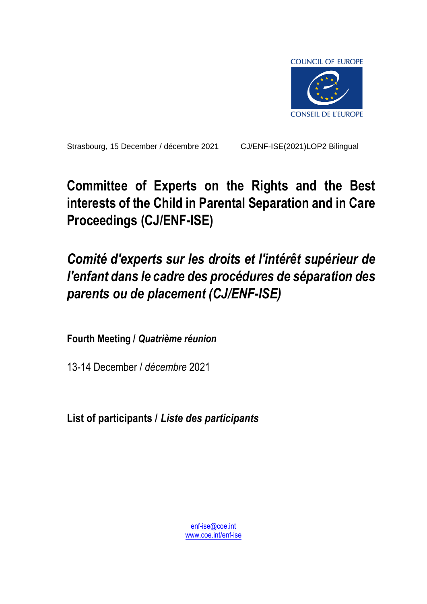

Strasbourg, 15 December / décembre 2021 CJ/ENF-ISE(2021)LOP2 Bilingual

# **Committee of Experts on the Rights and the Best interests of the Child in Parental Separation and in Care Proceedings (CJ/ENF-ISE)**

# *Comité d'experts sur les droits et l'intérêt supérieur de l'enfant dans le cadre des procédures de séparation des parents ou de placement (CJ/ENF-ISE)*

**Fourth Meeting /** *Quatrième réunion*

13-14 December / *décembre* 2021

**List of participants /** *Liste des participants*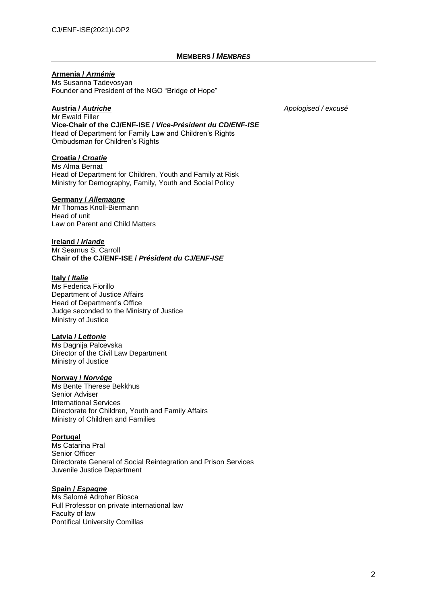#### **MEMBERS /** *MEMBRES*

#### **Armenia /** *Arménie*

Ms Susanna Tadevosyan Founder and President of the NGO "Bridge of Hope"

**Austria /** *Autriche Apologised / excusé*

Mr Ewald Filler **Vice-Chair of the CJ/ENF-ISE /** *Vice-Président du CD/ENF-ISE* Head of Department for Family Law and Children's Rights Ombudsman for Children's Rights

#### **Croatia /** *Croatie*

Ms Alma Bernat Head of Department for Children, Youth and Family at Risk Ministry for Demography, Family, Youth and Social Policy

#### **Germany /** *Allemagne*

Mr Thomas Knoll-Biermann Head of unit Law on Parent and Child Matters

**Ireland /** *Irlande* Mr Seamus S. Carroll **Chair of the CJ/ENF-ISE /** *Président du CJ/ENF-ISE*

#### **Italy /** *Italie*

Ms Federica Fiorillo Department of Justice Affairs Head of Department's Office Judge seconded to the Ministry of Justice Ministry of Justice

#### **Latvia /** *Lettonie*

Ms Dagnija Palcevska Director of the Civil Law Department Ministry of Justice

#### **Norway /** *Norvège*

Ms Bente Therese Bekkhus Senior Adviser International Services Directorate for Children, Youth and Family Affairs Ministry of Children and Families

#### **Portugal**

Ms Catarina Pral Senior Officer Directorate General of Social Reintegration and Prison Services Juvenile Justice Department

#### **Spain /** *Espagne*

Ms Salomé Adroher Biosca Full Professor on private international law Faculty of law Pontifical University Comillas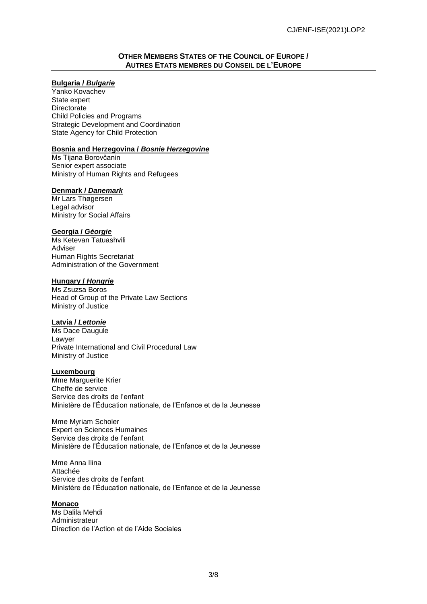#### **OTHER MEMBERS STATES OF THE COUNCIL OF EUROPE / AUTRES ETATS MEMBRES DU CONSEIL DE L'EUROPE**

### **Bulgaria /** *Bulgarie*

Yanko Kovachev State expert **Directorate** Child Policies and Programs Strategic Development and Coordination State Agency for Child Protection

#### **Bosnia and Herzegovina /** *Bosnie Herzegovine*

Ms Tijana Borovčanin Senior expert associate Ministry of Human Rights and Refugees

#### **Denmark /** *Danemark*

Mr Lars Thøgersen Legal advisor Ministry for Social Affairs

#### **Georgia /** *Géorgie*

Ms Ketevan Tatuashvili Adviser Human Rights Secretariat Administration of the Government

#### **Hungary /** *Hongrie*

Ms Zsuzsa Boros Head of Group of the Private Law Sections Ministry of Justice

#### **Latvia /** *Lettonie*

Ms Dace Daugule Lawyer Private International and Civil Procedural Law Ministry of Justice

#### **Luxembourg**

Mme Marguerite Krier Cheffe de service Service des droits de l'enfant Ministère de l'Éducation nationale, de l'Enfance et de la Jeunesse

Mme Myriam Scholer Expert en Sciences Humaines Service des droits de l'enfant Ministère de l'Éducation nationale, de l'Enfance et de la Jeunesse

Mme Anna Ilina Attachée Service des droits de l'enfant Ministère de l'Éducation nationale, de l'Enfance et de la Jeunesse

#### **Monaco**

Ms Dalila Mehdi Administrateur Direction de l'Action et de l'Aide Sociales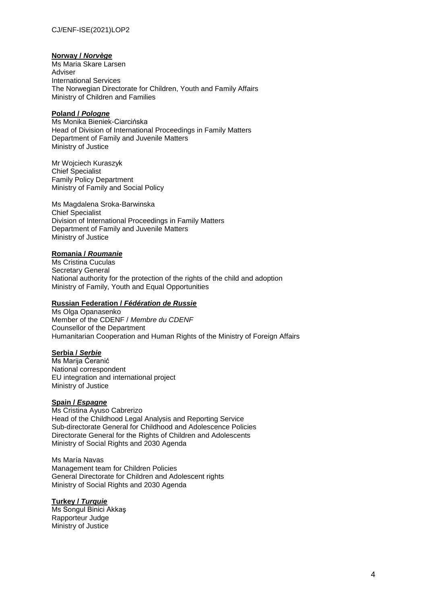### CJ/ENF-ISE(2021)LOP2

#### **Norway /** *Norvège*

Ms Maria Skare Larsen Adviser International Services The Norwegian Directorate for Children, Youth and Family Affairs Ministry of Children and Families

### **Poland /** *Pologne*

Ms Monika Bieniek-Ciarcińska Head of Division of International Proceedings in Family Matters Department of Family and Juvenile Matters Ministry of Justice

Mr Wojciech Kuraszyk Chief Specialist Family Policy Department Ministry of Family and Social Policy

Ms Magdalena Sroka-Barwinska Chief Specialist Division of International Proceedings in Family Matters Department of Family and Juvenile Matters Ministry of Justice

#### **Romania /** *Roumanie*

Ms Cristina Cuculas Secretary General National authority for the protection of the rights of the child and adoption Ministry of Family, Youth and Equal Opportunities

#### **Russian Federation /** *Fédération de Russie*

Ms Olga Opanasenko Member of the CDENF / *Membre du CDENF* Counsellor of the Department Humanitarian Cooperation and Human Rights of the Ministry of Foreign Affairs

#### **Serbia /** *Serbie*

Ms Marija Ćeranić National correspondent EU integration and international project Ministry of Justice

#### **Spain /** *Espagne*

Ms Cristina Ayuso Cabrerizo Head of the Childhood Legal Analysis and Reporting Service Sub-directorate General for Childhood and Adolescence Policies Directorate General for the Rights of Children and Adolescents Ministry of Social Rights and 2030 Agenda

Ms María Navas Management team for Children Policies General Directorate for Children and Adolescent rights Ministry of Social Rights and 2030 Agenda

#### **Turkey /** *Turquie*

Ms Songul Binici Akkaş Rapporteur Judge Ministry of Justice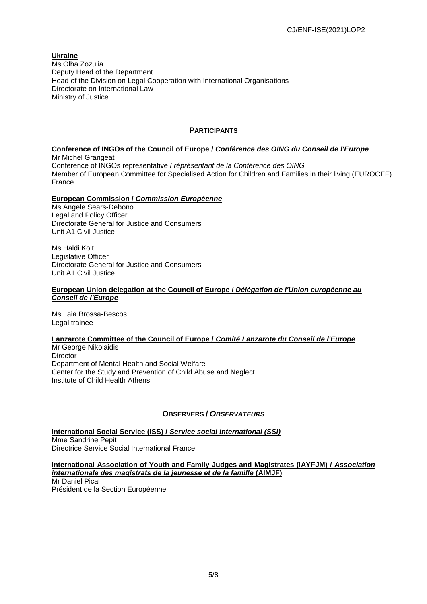#### **Ukraine** Ms Olha Zozulia Deputy Head of the Department Head of the Division on Legal Cooperation with International Organisations Directorate on International Law Ministry of Justice

## **PARTICIPANTS**

# **Conference of INGOs of the Council of Europe /** *Conférence des OING du Conseil de l'Europe*

Mr Michel Grangeat Conference of INGOs representative / *réprésentant de la Conférence des OING* Member of European Committee for Specialised Action for Children and Families in their living (EUROCEF) France

### **European Commission /** *Commission Européenne*

Ms Angele Sears-Debono Legal and Policy Officer Directorate General for Justice and Consumers Unit A1 Civil Justice

Ms Haldi Koit Legislative Officer Directorate General for Justice and Consumers Unit A1 Civil Justice

#### **European Union delegation at the Council of Europe /** *Délégation de l'Union européenne au Conseil de l'Europe*

Ms Laia Brossa-Bescos Legal trainee

#### **Lanzarote Committee of the Council of Europe /** *Comité Lanzarote du Conseil de l'Europe*

Mr George Nikolaidis **Director** Department of Mental Health and Social Welfare Center for the Study and Prevention of Child Abuse and Neglect Institute of Child Health Athens

## **OBSERVERS /** *OBSERVATEURS*

**International Social Service (ISS) /** *Service social international (SSI)*

Mme Sandrine Pepit Directrice Service Social International France

#### **International Association of Youth and Family Judges and Magistrates (IAYFJM) /** *Association internationale des magistrats de la jeunesse et de la famille* **(AIMJF)**

Mr Daniel Pical Président de la Section Européenne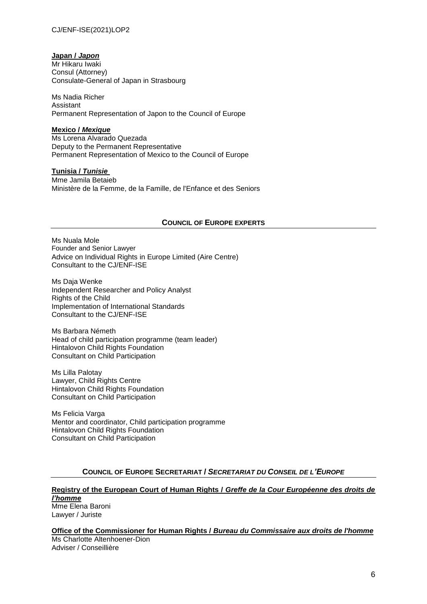#### **Japan /** *Japon*

Mr Hikaru Iwaki Consul (Attorney) Consulate-General of Japan in Strasbourg

Ms Nadia Richer Assistant Permanent Representation of Japon to the Council of Europe

#### **Mexico /** *Mexique*

Ms Lorena Alvarado Quezada Deputy to the Permanent Representative Permanent Representation of Mexico to the Council of Europe

#### **Tunisia /** *Tunisie*

Mme Jamila Betaieb Ministère de la Femme, de la Famille, de l'Enfance et des Seniors

### **COUNCIL OF EUROPE EXPERTS**

Ms Nuala Mole Founder and Senior Lawyer Advice on Individual Rights in Europe Limited (Aire Centre) Consultant to the CJ/ENF-ISE

Ms Daja Wenke Independent Researcher and Policy Analyst Rights of the Child Implementation of International Standards Consultant to the CJ/ENF-ISE

Ms Barbara Németh Head of child participation programme (team leader) Hintalovon Child Rights Foundation Consultant on Child Participation

Ms Lilla Palotay Lawyer, Child Rights Centre Hintalovon Child Rights Foundation Consultant on Child Participation

Ms Felicia Varga Mentor and coordinator, Child participation programme Hintalovon Child Rights Foundation Consultant on Child Participation

#### **COUNCIL OF EUROPE SECRETARIAT /** *SECRETARIAT DU CONSEIL DE L'EUROPE*

# **Registry of the European Court of Human Rights /** *Greffe de la Cour Européenne des droits de l'homme*

Mme Elena Baroni Lawyer / Juriste

**Office of the Commissioner for Human Rights /** *Bureau du Commissaire aux droits de l'homme* Ms Charlotte Altenhoener-Dion Adviser / Conseillière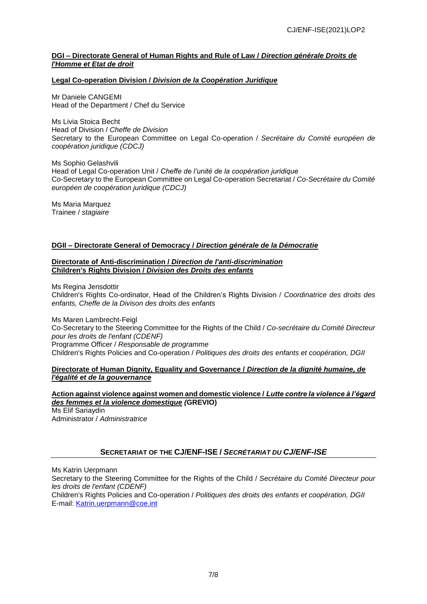#### **DGI – Directorate General of Human Rights and Rule of Law /** *Direction générale Droits de l'Homme et Etat de droit*

#### **Legal Co-operation Division /** *Division de la Coopération Juridique*

Mr Daniele CANGEMI Head of the Department / Chef du Service

Ms Livia Stoica Becht Head of Division / *Cheffe de Division* Secretary to the European Committee on Legal Co-operation / *Secrétaire du Comité européen de coopération juridique (CDCJ)*

Ms Sophio Gelashvili Head of Legal Co-operation Unit / *Cheffe de l'unité de la coopération juridique* Co-Secretary to the European Committee on Legal Co-operation Secretariat / *Co-Secrétaire du Comité européen de coopération juridique (CDCJ)*

Ms Maria Marquez Trainee / *stagiaire*

### **DGII – Directorate General of Democracy /** *Direction générale de la Démocratie*

#### **Directorate of Anti-discrimination /** *Direction de l'anti-discrimination* **Children's Rights Division /** *Division des Droits des enfants*

Ms Regina Jensdottir

Children's Rights Co-ordinator, Head of the Children's Rights Division / *Coordinatrice des droits des enfants, Cheffe de la Divison des droits des enfants* 

Ms Maren Lambrecht-Feigl Co-Secretary to the Steering Committee for the Rights of the Child / *Co-secrétaire du Comité Directeur pour les droits de l'enfant (CDENF)* Programme Officer / *Responsable de programme* Children's Rights Policies and Co-operation / *Politiques des droits des enfants et coopération, DGII*

#### **Directorate of Human Dignity, Equality and Governance /** *Direction de la dignité humaine, de l'égalité et de la gouvernance*

**Action against violence against women and domestic violence /** *Lutte contre la violence à l'égard des femmes et la violence domestique (***GREVIO)** Ms Elif Sariaydin

Administrator / *Administratrice*

# **SECRETARIAT OF THE CJ/ENF-ISE /** *SECRÉTARIAT DU CJ/ENF-ISE*

Ms Katrin Uerpmann

Secretary to the Steering Committee for the Rights of the Child / *Secrétaire du Comité Directeur pour les droits de l'enfant (CDENF)*

Children's Rights Policies and Co-operation / *Politiques des droits des enfants et coopération, DGII* E-mail: [Katrin.uerpmann@coe.int](mailto:Katrin.UERPMANN@coe.int)